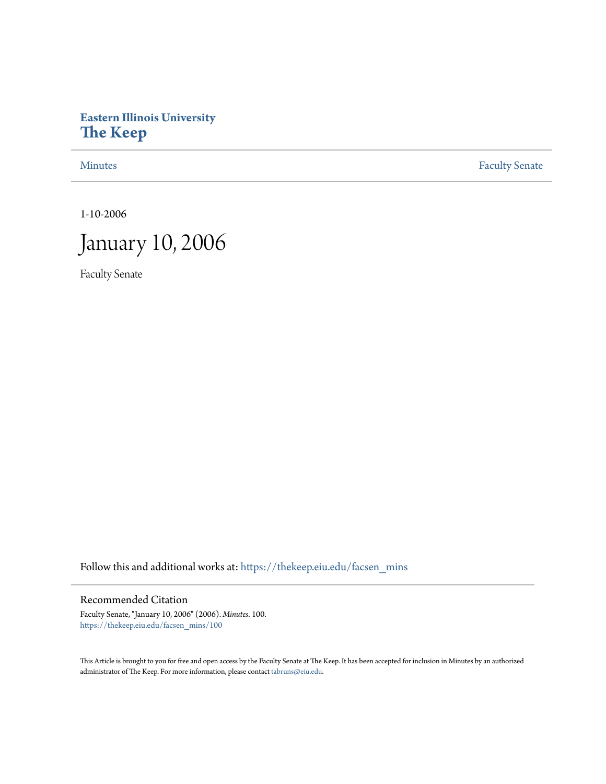# **Eastern Illinois University [The Keep](https://thekeep.eiu.edu?utm_source=thekeep.eiu.edu%2Ffacsen_mins%2F100&utm_medium=PDF&utm_campaign=PDFCoverPages)**

[Minutes](https://thekeep.eiu.edu/facsen_mins?utm_source=thekeep.eiu.edu%2Ffacsen_mins%2F100&utm_medium=PDF&utm_campaign=PDFCoverPages) **[Faculty Senate](https://thekeep.eiu.edu/fac_senate?utm_source=thekeep.eiu.edu%2Ffacsen_mins%2F100&utm_medium=PDF&utm_campaign=PDFCoverPages)** 

1-10-2006



Faculty Senate

Follow this and additional works at: [https://thekeep.eiu.edu/facsen\\_mins](https://thekeep.eiu.edu/facsen_mins?utm_source=thekeep.eiu.edu%2Ffacsen_mins%2F100&utm_medium=PDF&utm_campaign=PDFCoverPages)

## Recommended Citation

Faculty Senate, "January 10, 2006" (2006). *Minutes*. 100. [https://thekeep.eiu.edu/facsen\\_mins/100](https://thekeep.eiu.edu/facsen_mins/100?utm_source=thekeep.eiu.edu%2Ffacsen_mins%2F100&utm_medium=PDF&utm_campaign=PDFCoverPages)

This Article is brought to you for free and open access by the Faculty Senate at The Keep. It has been accepted for inclusion in Minutes by an authorized administrator of The Keep. For more information, please contact [tabruns@eiu.edu.](mailto:tabruns@eiu.edu)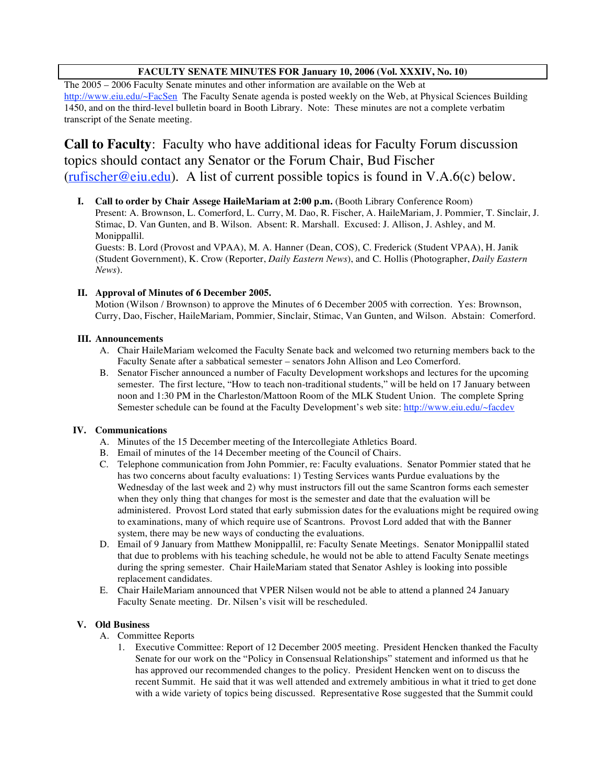## **FACULTY SENATE MINUTES FOR January 10, 2006 (Vol. XXXIV, No. 10)**

The 2005 – 2006 Faculty Senate minutes and other information are available on the Web at http://www.eiu.edu/~FacSen The Faculty Senate agenda is posted weekly on the Web, at Physical Sciences Building 1450, and on the third-level bulletin board in Booth Library. Note: These minutes are not a complete verbatim transcript of the Senate meeting.

**Call to Faculty**: Faculty who have additional ideas for Faculty Forum discussion topics should contact any Senator or the Forum Chair, Bud Fischer (rufischer@eiu.edu). A list of current possible topics is found in V.A.6(c) below.

**I. Call to order by Chair Assege HaileMariam at 2:00 p.m.** (Booth Library Conference Room) Present: A. Brownson, L. Comerford, L. Curry, M. Dao, R. Fischer, A. HaileMariam, J. Pommier, T. Sinclair, J. Stimac, D. Van Gunten, and B. Wilson. Absent: R. Marshall. Excused: J. Allison, J. Ashley, and M. Monippallil. Guests: B. Lord (Provost and VPAA), M. A. Hanner (Dean, COS), C. Frederick (Student VPAA), H. Janik

(Student Government), K. Crow (Reporter, *Daily Eastern News*), and C. Hollis (Photographer, *Daily Eastern News*).

## **II. Approval of Minutes of 6 December 2005.**

Motion (Wilson / Brownson) to approve the Minutes of 6 December 2005 with correction. Yes: Brownson, Curry, Dao, Fischer, HaileMariam, Pommier, Sinclair, Stimac, Van Gunten, and Wilson. Abstain: Comerford.

## **III. Announcements**

- A. Chair HaileMariam welcomed the Faculty Senate back and welcomed two returning members back to the Faculty Senate after a sabbatical semester – senators John Allison and Leo Comerford.
- B. Senator Fischer announced a number of Faculty Development workshops and lectures for the upcoming semester. The first lecture, "How to teach non-traditional students," will be held on 17 January between noon and 1:30 PM in the Charleston/Mattoon Room of the MLK Student Union. The complete Spring Semester schedule can be found at the Faculty Development's web site: http://www.eiu.edu/~facdev

## **IV. Communications**

- A. Minutes of the 15 December meeting of the Intercollegiate Athletics Board.
- B. Email of minutes of the 14 December meeting of the Council of Chairs.
- C. Telephone communication from John Pommier, re: Faculty evaluations. Senator Pommier stated that he has two concerns about faculty evaluations: 1) Testing Services wants Purdue evaluations by the Wednesday of the last week and 2) why must instructors fill out the same Scantron forms each semester when they only thing that changes for most is the semester and date that the evaluation will be administered. Provost Lord stated that early submission dates for the evaluations might be required owing to examinations, many of which require use of Scantrons. Provost Lord added that with the Banner system, there may be new ways of conducting the evaluations.
- D. Email of 9 January from Matthew Monippallil, re: Faculty Senate Meetings. Senator Monippallil stated that due to problems with his teaching schedule, he would not be able to attend Faculty Senate meetings during the spring semester. Chair HaileMariam stated that Senator Ashley is looking into possible replacement candidates.
- E. Chair HaileMariam announced that VPER Nilsen would not be able to attend a planned 24 January Faculty Senate meeting. Dr. Nilsen's visit will be rescheduled.

## **V. Old Business**

- A. Committee Reports
	- 1. Executive Committee: Report of 12 December 2005 meeting. President Hencken thanked the Faculty Senate for our work on the "Policy in Consensual Relationships" statement and informed us that he has approved our recommended changes to the policy. President Hencken went on to discuss the recent Summit. He said that it was well attended and extremely ambitious in what it tried to get done with a wide variety of topics being discussed. Representative Rose suggested that the Summit could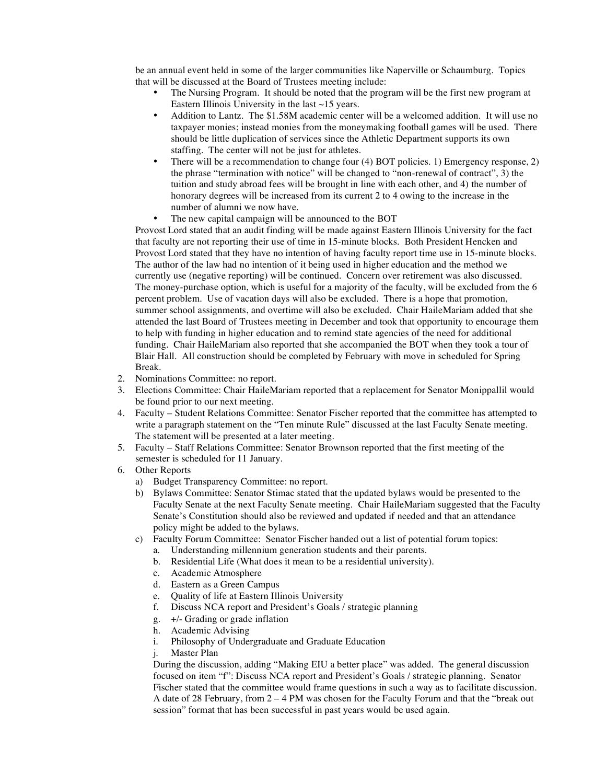be an annual event held in some of the larger communities like Naperville or Schaumburg. Topics that will be discussed at the Board of Trustees meeting include:

- The Nursing Program. It should be noted that the program will be the first new program at Eastern Illinois University in the last  $\sim$  15 years.
- Addition to Lantz. The \$1.58M academic center will be a welcomed addition. It will use no taxpayer monies; instead monies from the moneymaking football games will be used. There should be little duplication of services since the Athletic Department supports its own staffing. The center will not be just for athletes.
- There will be a recommendation to change four (4) BOT policies. 1) Emergency response, 2) the phrase "termination with notice" will be changed to "non-renewal of contract", 3) the tuition and study abroad fees will be brought in line with each other, and 4) the number of honorary degrees will be increased from its current 2 to 4 owing to the increase in the number of alumni we now have.
- The new capital campaign will be announced to the BOT

Provost Lord stated that an audit finding will be made against Eastern Illinois University for the fact that faculty are not reporting their use of time in 15-minute blocks. Both President Hencken and Provost Lord stated that they have no intention of having faculty report time use in 15-minute blocks. The author of the law had no intention of it being used in higher education and the method we currently use (negative reporting) will be continued. Concern over retirement was also discussed. The money-purchase option, which is useful for a majority of the faculty, will be excluded from the 6 percent problem. Use of vacation days will also be excluded. There is a hope that promotion, summer school assignments, and overtime will also be excluded. Chair HaileMariam added that she attended the last Board of Trustees meeting in December and took that opportunity to encourage them to help with funding in higher education and to remind state agencies of the need for additional funding. Chair HaileMariam also reported that she accompanied the BOT when they took a tour of Blair Hall. All construction should be completed by February with move in scheduled for Spring Break.

- 2. Nominations Committee: no report.
- 3. Elections Committee: Chair HaileMariam reported that a replacement for Senator Monippallil would be found prior to our next meeting.
- 4. Faculty Student Relations Committee: Senator Fischer reported that the committee has attempted to write a paragraph statement on the "Ten minute Rule" discussed at the last Faculty Senate meeting. The statement will be presented at a later meeting.
- 5. Faculty Staff Relations Committee: Senator Brownson reported that the first meeting of the semester is scheduled for 11 January.
- 6. Other Reports
	- a) Budget Transparency Committee: no report.
	- b) Bylaws Committee: Senator Stimac stated that the updated bylaws would be presented to the Faculty Senate at the next Faculty Senate meeting. Chair HaileMariam suggested that the Faculty Senate's Constitution should also be reviewed and updated if needed and that an attendance policy might be added to the bylaws.
	- c) Faculty Forum Committee: Senator Fischer handed out a list of potential forum topics:
		- a. Understanding millennium generation students and their parents.
		- b. Residential Life (What does it mean to be a residential university).
		- c. Academic Atmosphere
		- d. Eastern as a Green Campus
		- e. Quality of life at Eastern Illinois University
		- f. Discuss NCA report and President's Goals / strategic planning
		- g. +/- Grading or grade inflation
		- h. Academic Advising
		- i. Philosophy of Undergraduate and Graduate Education
		- j. Master Plan

During the discussion, adding "Making EIU a better place" was added. The general discussion focused on item "f": Discuss NCA report and President's Goals / strategic planning. Senator Fischer stated that the committee would frame questions in such a way as to facilitate discussion. A date of 28 February, from 2 – 4 PM was chosen for the Faculty Forum and that the "break out session" format that has been successful in past years would be used again.